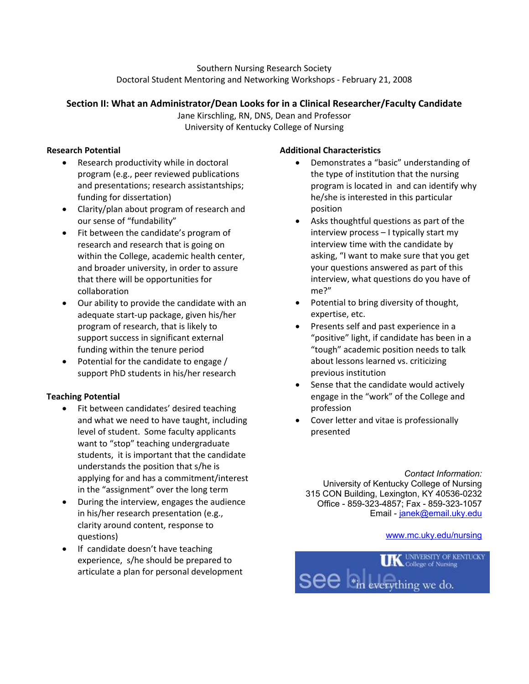Southern Nursing Research Society Doctoral Student Mentoring and Networking Workshops - February 21, 2008

### **Section II: What an Administrator/Dean Looks for in a Clinical Researcher/Faculty Candidate**

Jane Kirschling, RN, DNS, Dean and Professor University of Kentucky College of Nursing

## **Research Potential**

- Research productivity while in doctoral program (e.g., peer reviewed publications and presentations; research assistantships; funding for dissertation)
- Clarity/plan about program of research and our sense of "fundability"
- Fit between the candidate's program of research and research that is going on within the College, academic health center, and broader university, in order to assure that there will be opportunities for collaboration
- Our ability to provide the candidate with an adequate start-up package, given his/her program of research, that is likely to support success in significant external funding within the tenure period
- Potential for the candidate to engage / support PhD students in his/her research

## **Teaching Potential**

- Fit between candidates' desired teaching and what we need to have taught, including level of student. Some faculty applicants want to "stop" teaching undergraduate students, it is important that the candidate understands the position that s/he is applying for and has a commitment/interest in the "assignment" over the long term
- During the interview, engages the audience in his/her research presentation (e.g., clarity around content, response to questions)
- If candidate doesn't have teaching experience, s/he should be prepared to articulate a plan for personal development

## **Additional Characteristics**

- Demonstrates a "basic" understanding of the type of institution that the nursing program is located in and can identify why he/she is interested in this particular position
- Asks thoughtful questions as part of the interview process – I typically start my interview time with the candidate by asking, "I want to make sure that you get your questions answered as part of this interview, what questions do you have of me?"
- Potential to bring diversity of thought, expertise, etc.
- Presents self and past experience in a "positive" light, if candidate has been in a "tough" academic position needs to talk about lessons learned vs. criticizing previous institution
- Sense that the candidate would actively engage in the "work" of the College and profession
- Cover letter and vitae is professionally presented

*Contact Information:*  University of Kentucky College of Nursing 315 CON Building, Lexington, KY 40536-0232 Office - 859-323-4857; Fax - 859-323-1057 Email - [janek@email.uky.edu](mailto:janek@email.uky.edu)

#### [www.mc.uky.edu/nursing](http://www.mc.uky.edu/nursing)